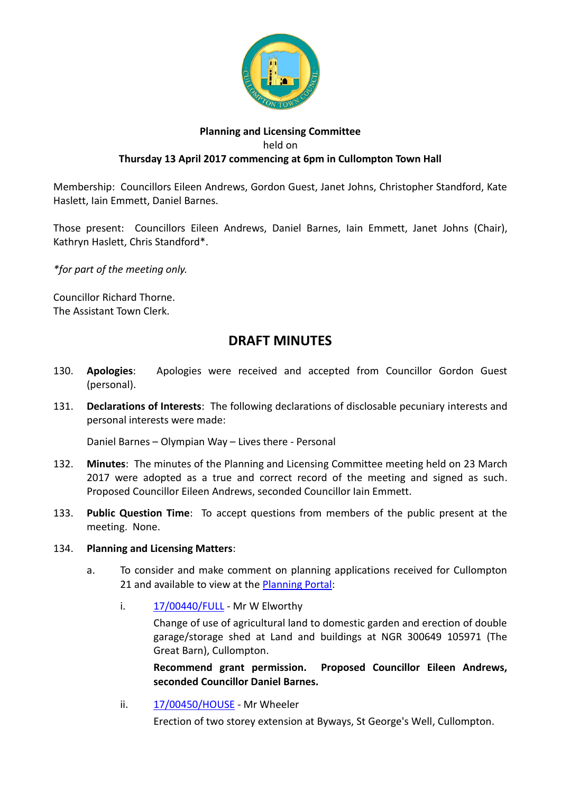

## **Planning and Licensing Committee** held on **Thursday 13 April 2017 commencing at 6pm in Cullompton Town Hall**

Membership: Councillors Eileen Andrews, Gordon Guest, Janet Johns, Christopher Standford, Kate Haslett, Iain Emmett, Daniel Barnes.

Those present: Councillors Eileen Andrews, Daniel Barnes, Iain Emmett, Janet Johns (Chair), Kathryn Haslett, Chris Standford\*.

*\*for part of the meeting only.*

Councillor Richard Thorne. The Assistant Town Clerk.

## **DRAFT MINUTES**

- 130. **Apologies**: Apologies were received and accepted from Councillor Gordon Guest (personal).
- 131. **Declarations of Interests**: The following declarations of disclosable pecuniary interests and personal interests were made:

Daniel Barnes – Olympian Way – Lives there - Personal

- 132. **Minutes**: The minutes of the Planning and Licensing Committee meeting held on 23 March 2017 were adopted as a true and correct record of the meeting and signed as such. Proposed Councillor Eileen Andrews, seconded Councillor Iain Emmett.
- 133. **Public Question Time**: To accept questions from members of the public present at the meeting. None.

## 134. **Planning and Licensing Matters**:

- a. To consider and make comment on planning applications received for Cullompton 21 and available to view at the [Planning Portal:](https://planning.middevon.gov.uk/online-applications/search.do?action=simple&searchType=BuildingControl)
	- i. [17/00440/FULL](https://planning.middevon.gov.uk/online-applications/applicationDetails.do?activeTab=documents&keyVal=OMULILKS07T00) Mr W Elworthy

Change of use of agricultural land to domestic garden and erection of double garage/storage shed at Land and buildings at NGR 300649 105971 (The Great Barn), Cullompton.

**Recommend grant permission. Proposed Councillor Eileen Andrews, seconded Councillor Daniel Barnes.**

ii. [17/00450/HOUSE](https://planning.middevon.gov.uk/online-applications/applicationDetails.do?activeTab=documents&keyVal=OMWKFEKS07T00) - Mr Wheeler

Erection of two storey extension at Byways, St George's Well, Cullompton.